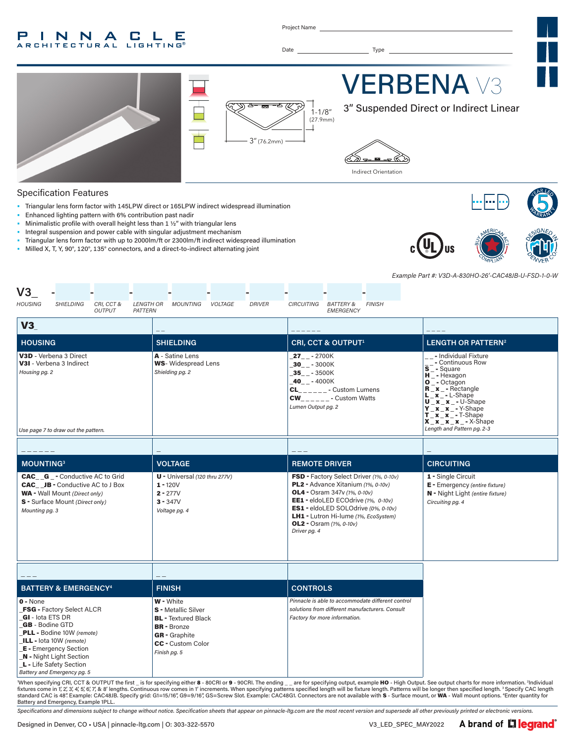#### P INNA **C L** E **RCHITECTURAL LIGHTING®**

Project Name

Date Type



#### Specification Features

- Triangular lens form factor with 145LPW direct or 165LPW indirect widespread illumination
- Enhanced lighting pattern with 6% contribution past nadir
- Minimalistic profile with overall height less than 1 ½" with triangular lens
- Integral suspension and power cable with singular adjustment mechanism
- Triangular lens form factor with up to 2000lm/ft or 2300lm/ft indirect widespread illumination
- Milled X, T, Y, 90°, 120°, 135° connectors, and a direct-to-indirect alternating joint





*Example Part #: V3D-A-830HO-26'-CAC48JB-U-FSD-1-0-W*

| V3                                                                                                                                                                                                                                                                                                                                                                                                                                                                                                                                                                                                                                                                                     |                                                                                                                                                          |                                                                                                                                                                                                                                                                                                 |                                                                                                                                                                                                                                                                                                                                                                                                                       |
|----------------------------------------------------------------------------------------------------------------------------------------------------------------------------------------------------------------------------------------------------------------------------------------------------------------------------------------------------------------------------------------------------------------------------------------------------------------------------------------------------------------------------------------------------------------------------------------------------------------------------------------------------------------------------------------|----------------------------------------------------------------------------------------------------------------------------------------------------------|-------------------------------------------------------------------------------------------------------------------------------------------------------------------------------------------------------------------------------------------------------------------------------------------------|-----------------------------------------------------------------------------------------------------------------------------------------------------------------------------------------------------------------------------------------------------------------------------------------------------------------------------------------------------------------------------------------------------------------------|
| <b>HOUSING</b><br><b>SHIELDING</b><br>CRI, CCT &<br><b>OUTPUT</b><br>PATTERN                                                                                                                                                                                                                                                                                                                                                                                                                                                                                                                                                                                                           | <b>MOUNTING</b><br>VOLTAGE<br><b>DRIVER</b><br><b>LENGTH OR</b>                                                                                          | CIRCUITING BATTERY &<br><b>FINISH</b><br><b>EMERGENCY</b>                                                                                                                                                                                                                                       |                                                                                                                                                                                                                                                                                                                                                                                                                       |
| V3                                                                                                                                                                                                                                                                                                                                                                                                                                                                                                                                                                                                                                                                                     |                                                                                                                                                          |                                                                                                                                                                                                                                                                                                 |                                                                                                                                                                                                                                                                                                                                                                                                                       |
| <b>HOUSING</b>                                                                                                                                                                                                                                                                                                                                                                                                                                                                                                                                                                                                                                                                         | <b>SHIELDING</b>                                                                                                                                         | CRI, CCT & OUTPUT <sup>1</sup>                                                                                                                                                                                                                                                                  | <b>LENGTH OR PATTERN<sup>2</sup></b>                                                                                                                                                                                                                                                                                                                                                                                  |
| V3D - Verbena 3 Direct<br>V3I - Verbena 3 Indirect<br>Housing pg. 2<br>Use page 7 to draw out the pattern.                                                                                                                                                                                                                                                                                                                                                                                                                                                                                                                                                                             | A - Satine Lens<br><b>WS-</b> Widespread Lens<br>Shielding pg. 2                                                                                         | $27 - 2700K$<br>$30 - -3000K$<br>$-35$ <sub>-</sub> $-3500K$<br>$40 - - 4000K$<br>$CL$ <sub>_____</sub> __ - Custom Lumens<br>$CW_{\_ \_ \_ \_ \_ \_ \_ \_ \_ \_ \_ \_ \_ \_ \_ \_ \_ \_ \}$ Custom Watts<br>Lumen Output pg. 2                                                                 | - Individual Fixture<br>- Continuous Row<br>$\bar{s}$ <sup>--</sup> Square<br>$H^-$ - Hexagon<br>$O -$ Octagon<br>$\overline{\mathbf{R}}$ $\mathbf{x}$ - Rectangle<br>$L_x - L$ -Shape<br>$U$ <sub>_</sub> $X$ <sup>-</sup> $X$ <sub>-</sub> $U$ -Shape<br>$Y$ $X$ $X$ $-$ Y-Shape<br>$T_{\cdot}$ $\mathbf{x}$ $\mathbf{x}$ $\cdot$ $\mathbf{y}$ - T-Shape<br>$X_x_x_x_x - x$ - X-Shape<br>Length and Pattern pg. 2-3 |
|                                                                                                                                                                                                                                                                                                                                                                                                                                                                                                                                                                                                                                                                                        |                                                                                                                                                          |                                                                                                                                                                                                                                                                                                 |                                                                                                                                                                                                                                                                                                                                                                                                                       |
| <b>MOUNTING3</b>                                                                                                                                                                                                                                                                                                                                                                                                                                                                                                                                                                                                                                                                       | <b>VOLTAGE</b>                                                                                                                                           | <b>REMOTE DRIVER</b>                                                                                                                                                                                                                                                                            | <b>CIRCUITING</b>                                                                                                                                                                                                                                                                                                                                                                                                     |
| <b>CAC G</b> - Conductive AC to Grid<br><b>CAC</b> JB - Conductive AC to J Box<br><b>WA</b> - Wall Mount (Direct only)<br>S - Surface Mount (Direct only)<br>Mounting pg. 3                                                                                                                                                                                                                                                                                                                                                                                                                                                                                                            | U - Universal (120 thru 277V)<br>$1 - 120V$<br>$2 - 277V$<br>$3 - 347V$<br>Voltage pg. 4                                                                 | FSD - Factory Select Driver (1%, 0-10v)<br>PL2 - Advance Xitanium (1%, 0-10v)<br><b>OL4</b> - Osram 347v (1%, 0-10v)<br>EE1 - eldoLED ECOdrive (1%, 0-10v)<br>ES1 - eldoLED SOLOdrive (0%, 0-10v)<br>LH1 - Lutron Hi-lume (1%, EcoSystem)<br><b>OL2</b> - Osram $(1\% , 0-10v)$<br>Driver pg. 4 | 1 - Single Circuit<br>E - Emergency (entire fixture)<br>N - Night Light (entire fixture)<br>Circuiting pg. 4                                                                                                                                                                                                                                                                                                          |
|                                                                                                                                                                                                                                                                                                                                                                                                                                                                                                                                                                                                                                                                                        |                                                                                                                                                          |                                                                                                                                                                                                                                                                                                 |                                                                                                                                                                                                                                                                                                                                                                                                                       |
| <b>BATTERY &amp; EMERGENCY<sup>4</sup></b>                                                                                                                                                                                                                                                                                                                                                                                                                                                                                                                                                                                                                                             | <b>FINISH</b>                                                                                                                                            | <b>CONTROLS</b>                                                                                                                                                                                                                                                                                 |                                                                                                                                                                                                                                                                                                                                                                                                                       |
| $0 - None$<br><b>FSG</b> - Factory Select ALCR<br><b>GI</b> - lota ETS DR<br><b>GB</b> - Bodine GTD<br><b>PLL</b> - Bodine 10W (remote)<br>ILL - lota 10W (remote)<br><b>E</b> - Emergency Section<br><b>N</b> - Night Light Section<br>L - Life Safety Section<br>Battery and Emergency pg. 5<br>$\overline{1}$ $\overline{1}$ $\overline{2}$ $\overline{2}$ $\overline{2}$ $\overline{2}$ $\overline{2}$ $\overline{2}$ $\overline{2}$ $\overline{2}$ $\overline{2}$ $\overline{2}$ $\overline{2}$ $\overline{2}$ $\overline{2}$ $\overline{2}$ $\overline{2}$ $\overline{2}$ $\overline{2}$ $\overline{2}$ $\overline{2}$ $\overline{2}$ $\overline{2}$ $\overline{2}$ $\overline{$ | W - White<br><b>S</b> - Metallic Silver<br><b>BL</b> - Textured Black<br><b>BR</b> - Bronze<br><b>GR</b> - Graphite<br>CC - Custom Color<br>Finish pg. 5 | Pinnacle is able to accommodate different control<br>solutions from different manufacturers, Consult<br>Factory for more information.                                                                                                                                                           |                                                                                                                                                                                                                                                                                                                                                                                                                       |

'When specifying CRI, CCT & OUTPUT the first \_ is for specifying either 8 - 80CRI or 9 - 90CRI. The ending \_\_are for specifying output, example HO - High Output. See output charts for more information. ªIndividual in the Battery and Emergency, Example 1PLL.

*Specifications and dimensions subject to change without notice. Specification sheets that appear on pinnacle-ltg.com are the most recent version and supersede all other previously printed or electronic versions.*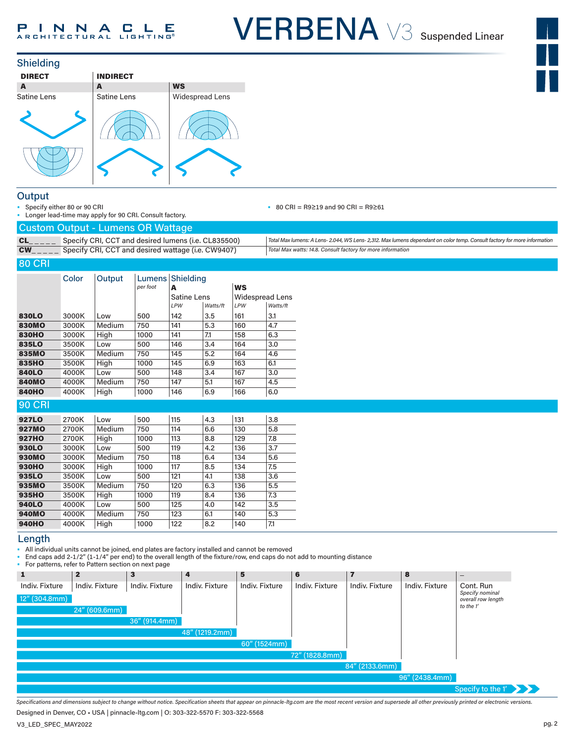





#### **Output**

Specify either 80 or 90 CRI • Longer lead-time may apply for 90 CRI. Consult factory. • 80 CRI = R9≥19 and 90 CRI = R9≥61

|  | <b>Custom Output - Lumens OR Wattage</b> |  |
|--|------------------------------------------|--|
|--|------------------------------------------|--|

| $CL_{\_\_--\_\_}$ Specify CRI, CCT and desired lumens (i.e. CL835500)                        | Total Max lumens: A Lens-2.044, WS Lens-2,312. Max lumens dependant on color temp. Consult factory for more information |
|----------------------------------------------------------------------------------------------|-------------------------------------------------------------------------------------------------------------------------|
| $CW_{\_ \_ \_ \_ \_ \_ \_ \_ \_ \_ \_ \}$ Specify CRI, CCT and desired wattage (i.e. CW9407) | Total Max watts: 14.8. Consult factory for more information                                                             |

#### 80 CRI

|               | Color | Output | Lumens <sup> </sup><br>per foot | Shielding<br>A |          | <b>WS</b>              |          |
|---------------|-------|--------|---------------------------------|----------------|----------|------------------------|----------|
|               |       |        |                                 | Satine Lens    |          | <b>Widespread Lens</b> |          |
|               |       |        |                                 | LPW            | Watts/ft | LPW                    | Watts/ft |
| 830LO         | 3000K | Low    | 500                             | 142            | 3.5      | 161                    | 3.1      |
| <b>830MO</b>  | 3000K | Medium | 750                             | 141            | 5.3      | 160                    | 4.7      |
| <b>830HO</b>  | 3000K | High   | 1000                            | 141            | 7.1      | 158                    | 6.3      |
| 835LO         | 3500K | Low    | 500                             | 146            | 3.4      | 164                    | 3.0      |
| 835MO         | 3500K | Medium | 750                             | 145            | 5.2      | 164                    | 4.6      |
| 835HO         | 3500K | High   | 1000                            | 145            | 6.9      | 163                    | 6.1      |
| 840LO         | 4000K | Low    | 500                             | 148            | 3.4      | 167                    | 3.0      |
| <b>840MO</b>  | 4000K | Medium | 750                             | 147            | 5.1      | 167                    | 4.5      |
| <b>840HO</b>  | 4000K | High   | 1000                            | 146            | 6.9      | 166                    | 6.0      |
| <b>90 CRI</b> |       |        |                                 |                |          |                        |          |
| <b>927LO</b>  | 2700K | Low    | 500                             | 115            | 4.3      | 131                    | 3.8      |
| <b>927MO</b>  | 2700K | Medium | 750                             | 114            | 6.6      | 130                    | 5.8      |
| <b>927HO</b>  | 2700K | High   | 1000                            | 113            | 8.8      | 129                    | 7.8      |
| 930LO         | 3000K | Low    | 500                             | 119            | 4.2      | 136                    | 3.7      |
| <b>930MO</b>  | 3000K | Medium | 750                             | 118            | 6.4      | 134                    | 5.6      |
| <b>930HO</b>  | 3000K | High   | 1000                            | 117            | 8.5      | 134                    | 7.5      |
| 935LO         | 3500K | Low    | 500                             | 121            | 4.1      | 138                    | 3.6      |
| 935MO         | 3500K | Medium | 750                             | 120            | 6.3      | 136                    | 5.5      |
| 935HO         | 3500K | High   | 1000                            | 119            | 8.4      | 136                    | 7.3      |
| <b>940LO</b>  | 4000K | Low    | 500                             | 125            | 4.0      | 142                    | 3.5      |
| <b>940MO</b>  | 4000K | Medium | 750                             | 123            | 6.1      | 140                    | 5.3      |

### Length

• All individual units cannot be joined, end plates are factory installed and cannot be removed

**940HO** 4000K High |1000 |122 |8.2 |140 |7.1

• End caps add 2-1/2" (1-1/4" per end) to the overall length of the fixture/row, end caps do not add to mounting distance

• For patterns, refer to Pattern section on next page

|                  | . or patterne, refer to rattern economical next page |                |                |                |                |                |                |                                       |
|------------------|------------------------------------------------------|----------------|----------------|----------------|----------------|----------------|----------------|---------------------------------------|
| 1                | $\mathbf{2}$                                         | 3              | 4              | 5              | 6              | 7              | 8              | $\qquad \qquad -$                     |
| Indiv. Fixture   | Indiv. Fixture                                       | Indiv. Fixture | Indiv. Fixture | Indiv. Fixture | Indiv. Fixture | Indiv. Fixture | Indiv. Fixture | Cont. Run                             |
| $12''$ (304.8mm) |                                                      |                |                |                |                |                |                | Specify nominal<br>overall row length |
|                  | 24'' (609.6mm)                                       |                |                |                |                |                |                | to the 1'                             |
|                  |                                                      | 36" (914.4mm)  |                |                |                |                |                |                                       |
|                  |                                                      |                | 48" (1219.2mm) |                |                |                |                |                                       |
|                  |                                                      |                |                | 60" (1524mm)   |                |                |                |                                       |
|                  |                                                      |                |                |                | 72" (1828.8mm) |                |                |                                       |
|                  |                                                      |                |                |                |                | 84" (2133.6mm) |                |                                       |
|                  |                                                      |                |                |                |                |                | 96" (2438.4mm) |                                       |
|                  |                                                      |                |                |                |                |                |                | Specify to the $1'$                   |

*Specifications and dimensions subject to change without notice. Specification sheets that appear on pinnacle-ltg.com are the most recent version and supersede all other previously printed or electronic versions.*

Designed in Denver, CO • USA | pinnacle-ltg.com | O: 303-322-5570 F: 303-322-5568

V3\_LED\_SPEC\_MAY2022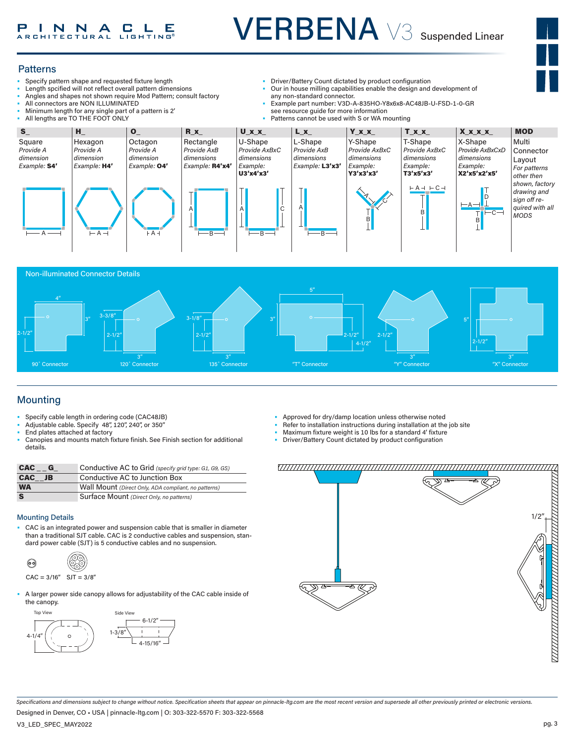

#### **Patterns**

- Specify pattern shape and requested fixture length
- Length spcified will not reflect overall pattern dimensions
- Angles and shapes not shown require Mod Pattern; consult factory
- All connectors are NON ILLUMINATED
- Minimum length for any single part of a pattern is 2'
- All lengths are TO THE FOOT ONLY
- Driver/Battery Count dictated by product configuration
- Our in house milling capabilities enable the design and development of any non-standard connector.
- Example part number: V3D-A-835HO-Y8x6x8-AC48JB-U-FSD-1-0-GR see resource guide for more information
- Patterns cannot be used with S or WA mounting





### Mounting

- Specify cable length in ordering code (CAC48JB)
- Adjustable cable. Specify 48", 120", 240", or 350"
- End plates attached at factory
- Canopies and mounts match fixture finish. See Finish section for additional details.

| <b>CAC</b><br>G | Conductive AC to Grid (specify grid type: G1, G9, GS) |
|-----------------|-------------------------------------------------------|
| CAC JB          | Conductive AC to Junction Box                         |
| <b>WA</b>       | Wall Mount (Direct Only, ADA compliant, no patterns)  |
| S               | Surface Mount (Direct Only, no patterns)              |

#### Mounting Details

• CAC is an integrated power and suspension cable that is smaller in diameter than a traditional SJT cable. CAC is 2 conductive cables and suspension, standard power cable (SJT) is 5 conductive cables and no suspension.



• A larger power side canopy allows for adjustability of the CAC cable inside of the canopy.



- Approved for dry/damp location unless otherwise noted
- Refer to installation instructions during installation at the job site
- Maximum fixture weight is 10 lbs for a standard 4' fixture
- Driver/Battery Count dictated by product configuration



*Specifications and dimensions subject to change without notice. Specification sheets that appear on pinnacle-ltg.com are the most recent version and supersede all other previously printed or electronic versions.*

Designed in Denver, CO • USA | pinnacle-ltg.com | O: 303-322-5570 F: 303-322-5568

V3\_LED\_SPEC\_MAY2022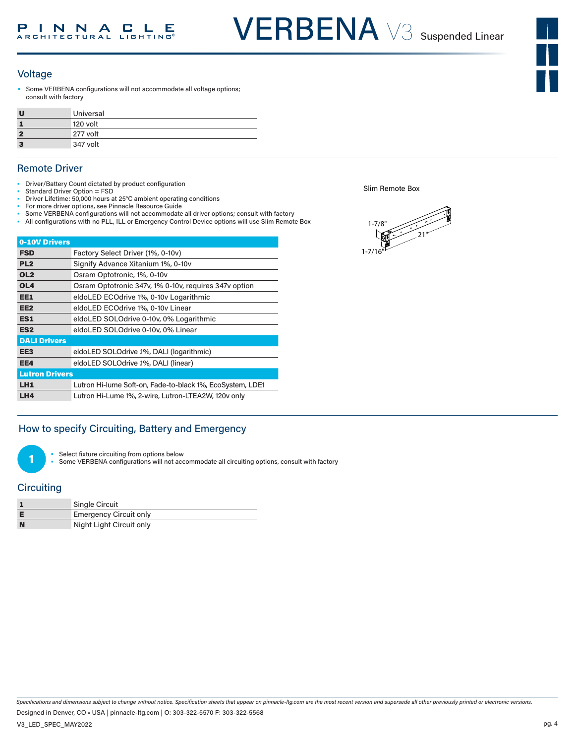#### Voltage

Some VERBENA configurations will not accommodate all voltage options; consult with factory

| υ  | Universal |
|----|-----------|
|    | 120 volt  |
|    | 277 volt  |
| -3 | 347 volt  |

#### Remote Driver

- Driver/Battery Count dictated by product configuration
- Standard Driver Option = FSD
- Driver Lifetime: 50,000 hours at 25°C ambient operating conditions
- For more driver options, see Pinnacle Resource Guide Some VERBENA configurations will not accommodate all driver options; consult with factory
- All configurations with no PLL, ILL or Emergency Control Device options will use Slim Remote Box

| 0-10V Drivers         |                                                           |
|-----------------------|-----------------------------------------------------------|
| <b>FSD</b>            | Factory Select Driver (1%, 0-10v)                         |
| PL <sub>2</sub>       | Signify Advance Xitanium 1%, 0-10v                        |
| OL <sub>2</sub>       | Osram Optotronic, 1%, 0-10v                               |
| OL <sub>4</sub>       | Osram Optotronic 347v, 1% 0-10v, requires 347v option     |
| EE1                   | eldoLED ECOdrive 1%, 0-10v Logarithmic                    |
| EE <sub>2</sub>       | eldoLED ECOdrive 1%, 0-10v Linear                         |
| ES1                   | eldoLED SOLOdrive 0-10v, 0% Logarithmic                   |
| ES <sub>2</sub>       | eldoLED SOLOdrive 0-10v, 0% Linear                        |
| <b>DALI Drivers</b>   |                                                           |
| EE3                   | eldoLED SOLOdrive .1%, DALI (logarithmic)                 |
| EE4                   | eldoLED SOLOdrive .1%, DALI (linear)                      |
| <b>Lutron Drivers</b> |                                                           |
| LH <sub>1</sub>       | Lutron Hi-lume Soft-on, Fade-to-black 1%, EcoSystem, LDE1 |
| LH4                   | Lutron Hi-Lume 1%, 2-wire, Lutron-LTEA2W, 120v only       |

#### How to specify Circuiting, Battery and Emergency

Select fixture circuiting from options below

Some VERBENA configurations will not accommodate all circuiting options, consult with factory

#### **Circuiting**

1

|   | Single Circuit                |
|---|-------------------------------|
|   | <b>Emergency Circuit only</b> |
| N | Night Light Circuit only      |

Slim Remote Box



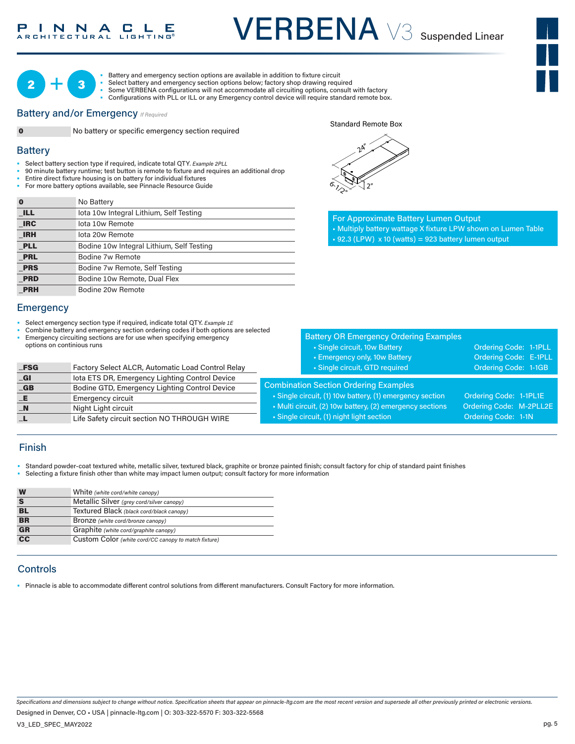### INNACLE

# VERBENA V3 Suspended Linear





• Battery and emergency section options are available in addition to fixture circuit<br>• Select battery and emergency section options below; factory shop drawing required<br>• Some VERBENA configurations will not accommodate al Battery and emergency section options are available in addition to fixture circuit<br>Select battery and emergency section options below; factory shop drawing required

- 
- Configurations with PLL or ILL or any Emergency control device will require standard remote box.

#### **Battery and/or Emergency**  If Required



**0** No battery or specific emergency section required

#### **Battery**

- Select battery section type if required, indicate total QTY*. Example 2PLL* 1-7/8"
- 90 minute battery runtime; test button is remote to fixture and requires an additional drop 21"
- Entire direct fixture housing is on battery for individual fixtures
- For more battery options available, see Pinnacle Resource Guide

| $\bf{0}$   | No Battery                                |
|------------|-------------------------------------------|
| <b>ILL</b> | lota 10w Integral Lithium, Self Testing   |
| <b>IRC</b> | lota 10w Remote                           |
| <b>IRH</b> | lota 20w Remote                           |
| <b>PLL</b> | Bodine 10w Integral Lithium, Self Testing |
| <b>PRL</b> | Bodine 7w Remote                          |
| <b>PRS</b> | Bodine 7w Remote, Self Testing            |
| <b>PRD</b> | Bodine 10w Remote, Dual Flex              |
| <b>PRH</b> | Bodine 20w Remote                         |

#### **Emergency**

- Select emergency section type if required, indicate total QTY. *Example 1E*
- Combine battery and emergency section ordering codes if both options are selected Emergency circuiting sections are for use when specifying emergency
- options on continious runs

| $_FSG$                    | Factory Select ALCR, Automatic Load Control Relay |
|---------------------------|---------------------------------------------------|
| $\overline{\mathsf{G}}$ l | lota ETS DR, Emergency Lighting Control Device    |
| $-GB$                     | Bodine GTD, Emergency Lighting Control Device     |
| LE.                       | <b>Emergency circuit</b>                          |
| $\blacksquare$ N          | Night Light circuit                               |
| п.                        | Life Safety circuit section NO THROUGH WIRE       |

| $2^{A}$    |                |  |
|------------|----------------|--|
|            |                |  |
| $\sigma$ , | 2 <sup>n</sup> |  |

Standard Remote Box

For Approximate Battery Lumen Output • Multiply battery wattage X fixture LPW shown on Lumen Table  $\text{-}$  92.3 (LPW) x 10 (watts) = 923 battery lumen output

|                                                                                     | <b>Battery OR Emergency Ordering Examples</b>          |                        |  |  |  |  |  |  |
|-------------------------------------------------------------------------------------|--------------------------------------------------------|------------------------|--|--|--|--|--|--|
|                                                                                     | • Single circuit, 10w Battery                          | Ordering Code: 1-1PLL  |  |  |  |  |  |  |
|                                                                                     | • Emergency only, 10w Battery                          | Ordering Code: E-1PLL  |  |  |  |  |  |  |
|                                                                                     | · Single circuit, GTD required                         | Ordering Code: 1-1GB   |  |  |  |  |  |  |
| <b>Combination Section Ordering Examples</b>                                        |                                                        |                        |  |  |  |  |  |  |
|                                                                                     | Single circuit, (1) 10w battery, (1) emergency section | Ordering Code: 1-1PL1E |  |  |  |  |  |  |
| Ordering Code: M-2PLL2E<br>• Multi circuit, (2) 10w battery, (2) emergency sections |                                                        |                        |  |  |  |  |  |  |
|                                                                                     | • Single circuit, (1) night light section              | Ordering Code: 1-1N    |  |  |  |  |  |  |
|                                                                                     |                                                        |                        |  |  |  |  |  |  |

#### Finish

- Standard powder-coat textured white, metallic silver, textured black, graphite or bronze painted finish; consult factory for chip of standard paint finishes
- Selecting a fixture finish other than white may impact lumen output; consult factory for more information

| W         | White (white cord/white canopy)                      |
|-----------|------------------------------------------------------|
| S         | Metallic Silver (grey cord/silver canopy)            |
| BL        | Textured Black (black cord/black canopy)             |
| <b>BR</b> | Bronze (white cord/bronze canopy)                    |
| <b>GR</b> | Graphite (white cord/graphite canopy)                |
| cc        | Custom Color (white cord/CC canopy to match fixture) |

#### **Controls**

• Pinnacle is able to accommodate different control solutions from different manufacturers. Consult Factory for more information.

*Specifications and dimensions subject to change without notice. Specification sheets that appear on pinnacle-ltg.com are the most recent version and supersede all other previously printed or electronic versions.*

Designed in Denver, CO • USA | pinnacle-ltg.com | O: 303-322-5570 F: 303-322-5568

V3\_LED\_SPEC\_MAY2022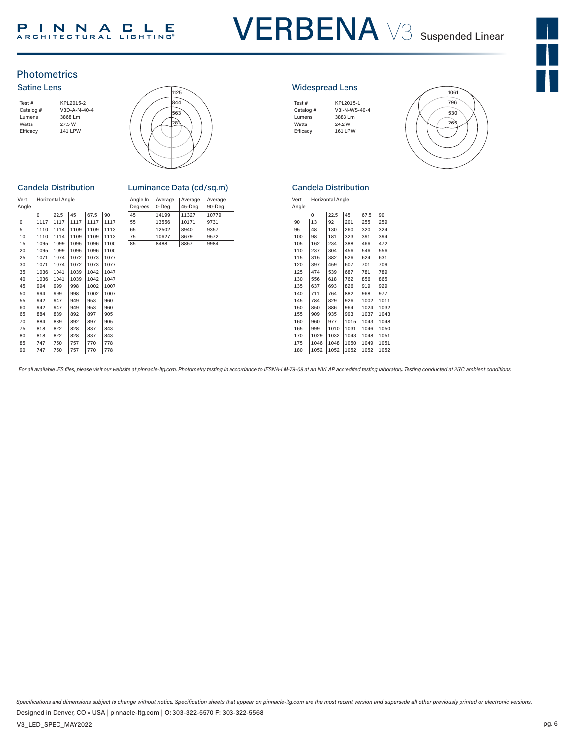### PINNACLE<br>ARCHITECTURAL LIGHTING®

## VERBENA V3 Suspended Linear



#### **Photometrics** Satine Lens





#### **Candela Distribution**

| Vert<br>Angle |      | <b>Horizontal Angle</b> |      |      |      | Angle In<br>Degrees | Average<br>0-Deg | Average<br>45-Deg | Avera<br>$90 - D$ |
|---------------|------|-------------------------|------|------|------|---------------------|------------------|-------------------|-------------------|
|               | 0    | 22.5                    | 45   | 67.5 | 90   | 45                  | 14199            | 11327             | 1077              |
| 0             | 1117 | 1117                    | 1117 | 1117 | 1117 | 55                  | 13556            | 10171             | 9731              |
| 5             | 1110 | 1114                    | 1109 | 1109 | 1113 | 65                  | 12502            | 8940              | 9357              |
| 10            | 1110 | 1114                    | 1109 | 1109 | 1113 | 75                  | 10627            | 8679              | 9572              |
| 15            | 1095 | 1099                    | 1095 | 1096 | 1100 | 85                  | 8488             | 8857              | 9984              |
| 20            | 1095 | 1099                    | 1095 | 1096 | 1100 |                     |                  |                   |                   |
| 25            | 1071 | 1074                    | 1072 | 1073 | 1077 |                     |                  |                   |                   |
| 30            | 1071 | 1074                    | 1072 | 1073 | 1077 |                     |                  |                   |                   |
| 35            | 1036 | 1041                    | 1039 | 1042 | 1047 |                     |                  |                   |                   |
| 40            | 1036 | 1041                    | 1039 | 1042 | 1047 |                     |                  |                   |                   |
| 45            | 994  | 999                     | 998  | 1002 | 1007 |                     |                  |                   |                   |
| 50            | 994  | 999                     | 998  | 1002 | 1007 |                     |                  |                   |                   |
| 55            | 942  | 947                     | 949  | 953  | 960  |                     |                  |                   |                   |
| 60            | 942  | 947                     | 949  | 953  | 960  |                     |                  |                   |                   |
| 65            | 884  | 889                     | 892  | 897  | 905  |                     |                  |                   |                   |
| 70            | 884  | 889                     | 892  | 897  | 905  |                     |                  |                   |                   |
| 75            | 818  | 822                     | 828  | 837  | 843  |                     |                  |                   |                   |
| 80            | 818  | 822                     | 828  | 837  | 843  |                     |                  |                   |                   |
| 85            | 747  | 750                     | 757  | 770  | 778  |                     |                  |                   |                   |
| 90            | 747  | 750                     | 757  | 770  | 778  |                     |                  |                   |                   |

| lela Distribution       |      |      |                     | Luminance Data (cd/sq.m) |                   |                   |       |       |
|-------------------------|------|------|---------------------|--------------------------|-------------------|-------------------|-------|-------|
| <b>Horizontal Angle</b> |      |      | Angle In<br>Degrees | Average<br>0-Dea         | Average<br>45-Dea | Average<br>90-Dea |       |       |
| O                       | 22.5 | 45   | 67.5                | 90                       | 45                | 14199             | 11327 | 10779 |
| 1117                    | 1117 | 1117 | 1117                | 1117                     | 55                | 13556             | 10171 | 9731  |
| 1110                    | 1114 | 1109 | 1109                | 1113                     | 65                | 12502             | 8940  | 9357  |
| 1110                    | 1114 | 1109 | 1109                | 1113                     | 75                | 10627             | 8679  | 9572  |
| 1095                    | 1099 | 1095 | 1096                | 1100                     | 85                | 8488              | 8857  | 9984  |

#### Widespread Lens

| Test#     | KPL2015-1     |
|-----------|---------------|
| Catalog # | V3I-N-WS-40-4 |
| Lumens    | 3883 Lm       |
| Watts     | 24.2 W        |
| Efficacy  | 161 LPW       |
|           |               |
|           |               |



#### Candela Distribution

| Vert  | <b>Horizontal Angle</b> |
|-------|-------------------------|
| Angle |                         |

|     |      | 22.5 |      |      |      |
|-----|------|------|------|------|------|
|     | 0    |      | 45   | 67.5 | 90   |
| 90  | 13   | 92   | 201  | 255  | 259  |
| 95  | 48   | 130  | 260  | 320  | 324  |
| 100 | 98   | 181  | 323  | 391  | 394  |
| 105 | 162  | 234  | 388  | 466  | 472  |
| 110 | 237  | 304  | 456  | 546  | 556  |
| 115 | 315  | 382  | 526  | 624  | 631  |
| 120 | 397  | 459  | 607  | 701  | 709  |
| 125 | 474  | 539  | 687  | 781  | 789  |
| 130 | 556  | 618  | 762  | 856  | 865  |
| 135 | 637  | 693  | 826  | 919  | 929  |
| 140 | 711  | 764  | 882  | 968  | 977  |
| 145 | 784  | 829  | 926  | 1002 | 1011 |
| 150 | 850  | 886  | 964  | 1024 | 1032 |
| 155 | 909  | 935  | 993  | 1037 | 1043 |
| 160 | 960  | 977  | 1015 | 1043 | 1048 |
| 165 | 999  | 1010 | 1031 | 1046 | 1050 |
| 170 | 1029 | 1032 | 1043 | 1048 | 1051 |
| 175 | 1046 | 1048 | 1050 | 1049 | 1051 |
| 180 | 1052 | 1052 | 1052 | 1052 | 1052 |
|     |      |      |      |      |      |

For all available IES files, please visit our website at pinnacle-ltg.com. Photometry testing in accordance to IESNA-LM-79-08 at an NVLAP accredited testing laboratory. Testing conducted at 25°C ambient conditions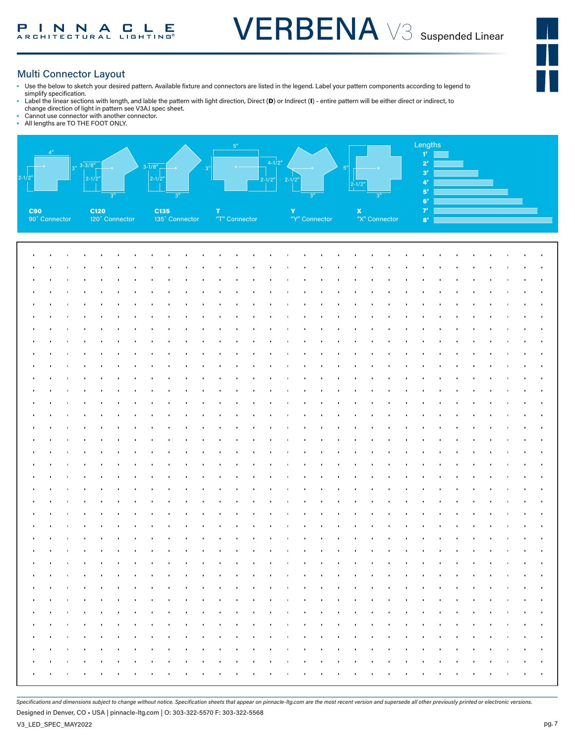#### Multi Connector Layout

- Use the below to sketch your desired pattern. Available fixture and connectors are listed in the legend. Label your pattern components according to legend to simplify specification.
- Label the linear sections with length, and lable the pattern with light direction, Direct (D) or Indirect (I) entire pattern will be either direct or indirect, to
- change direction of light in pattern see V3AJ spec sheet.
- Cannot use connector with another connector.<br>• All lengths are TO THE FOOT ONLY. All lengths are TO THE FOOT ONLY.



*Specifications and dimensions subject to change without notice. Specification sheets that appear on pinnacle-ltg.com are the most recent version and supersede all other previously printed or electronic versions.*

Designed in Denver, CO • USA | pinnacle-ltg.com | O: 303-322-5570 F: 303-322-5568